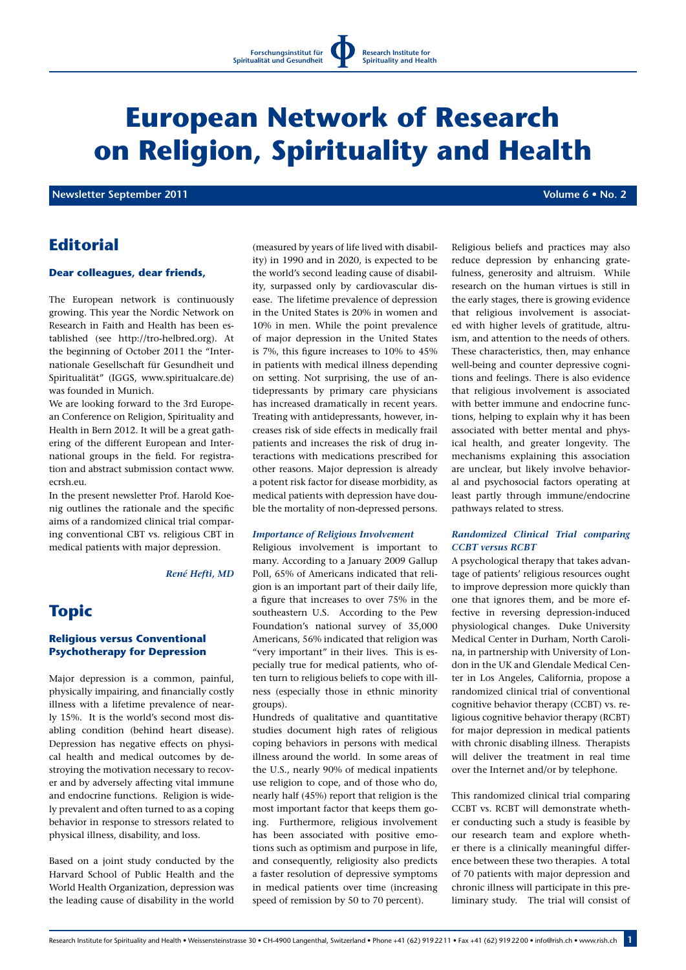# **European Network of Research on Religion, Spirituality and Health**

 **Newsletter September 2011 Contract Contract Contract Contract Contract Contract Contract Contract Contract Contract Contract Contract Contract Contract Contract Contract Contract Contract Contract Contract Contract Con** 

# **Editorial**

#### **Dear colleagues, dear friends,**

The European network is continuously growing. This year the Nordic Network on Research in Faith and Health has been established (see http://tro-helbred.org). At the beginning of October 2011 the "Internationale Gesellschaft für Gesundheit und Spiritualität" (IGGS, www.spiritualcare.de) was founded in Munich.

We are looking forward to the 3rd European Conference on Religion, Spirituality and Health in Bern 2012. It will be a great gathering of the different European and International groups in the field. For registration and abstract submission contact www. ecrsh.eu.

In the present newsletter Prof. Harold Koenig outlines the rationale and the specific aims of a randomized clinical trial comparing conventional CBT vs. religious CBT in medical patients with major depression.

*René Hefti, MD*

# **Topic**

# **Religious versus Conventional Psychotherapy for Depression**

Major depression is a common, painful, physically impairing, and financially costly illness with a lifetime prevalence of nearly 15%. It is the world's second most disabling condition (behind heart disease). Depression has negative effects on physical health and medical outcomes by destroying the motivation necessary to recover and by adversely affecting vital immune and endocrine functions. Religion is widely prevalent and often turned to as a coping behavior in response to stressors related to physical illness, disability, and loss.

Based on a joint study conducted by the Harvard School of Public Health and the World Health Organization, depression was the leading cause of disability in the world

(measured by years of life lived with disability) in 1990 and in 2020, is expected to be the world's second leading cause of disability, surpassed only by cardiovascular disease. The lifetime prevalence of depression in the United States is 20% in women and 10% in men. While the point prevalence of major depression in the United States is 7%, this figure increases to 10% to 45% in patients with medical illness depending on setting. Not surprising, the use of antidepressants by primary care physicians has increased dramatically in recent years. Treating with antidepressants, however, increases risk of side effects in medically frail patients and increases the risk of drug interactions with medications prescribed for other reasons. Major depression is already a potent risk factor for disease morbidity, as medical patients with depression have double the mortality of non-depressed persons.

#### *Importance of Religious Involvement*

Religious involvement is important to many. According to a January 2009 Gallup Poll, 65% of Americans indicated that religion is an important part of their daily life, a figure that increases to over 75% in the southeastern U.S. According to the Pew Foundation's national survey of 35,000 Americans, 56% indicated that religion was "very important" in their lives. This is especially true for medical patients, who often turn to religious beliefs to cope with illness (especially those in ethnic minority groups).

Hundreds of qualitative and quantitative studies document high rates of religious coping behaviors in persons with medical illness around the world. In some areas of the U.S., nearly 90% of medical inpatients use religion to cope, and of those who do, nearly half (45%) report that religion is the most important factor that keeps them going. Furthermore, religious involvement has been associated with positive emotions such as optimism and purpose in life, and consequently, religiosity also predicts a faster resolution of depressive symptoms in medical patients over time (increasing speed of remission by 50 to 70 percent).

Religious beliefs and practices may also reduce depression by enhancing gratefulness, generosity and altruism. While research on the human virtues is still in the early stages, there is growing evidence that religious involvement is associated with higher levels of gratitude, altruism, and attention to the needs of others. These characteristics, then, may enhance well-being and counter depressive cognitions and feelings. There is also evidence that religious involvement is associated with better immune and endocrine functions, helping to explain why it has been associated with better mental and physical health, and greater longevity. The mechanisms explaining this association are unclear, but likely involve behavioral and psychosocial factors operating at least partly through immune/endocrine pathways related to stress.

### *Randomized Clinical Trial comparing CCBT versus RCBT*

A psychological therapy that takes advantage of patients' religious resources ought to improve depression more quickly than one that ignores them, and be more effective in reversing depression-induced physiological changes. Duke University Medical Center in Durham, North Carolina, in partnership with University of London in the UK and Glendale Medical Center in Los Angeles, California, propose a randomized clinical trial of conventional cognitive behavior therapy (CCBT) vs. religious cognitive behavior therapy (RCBT) for major depression in medical patients with chronic disabling illness. Therapists will deliver the treatment in real time over the Internet and/or by telephone.

This randomized clinical trial comparing CCBT vs. RCBT will demonstrate whether conducting such a study is feasible by our research team and explore whether there is a clinically meaningful difference between these two therapies. A total of 70 patients with major depression and chronic illness will participate in this preliminary study. The trial will consist of